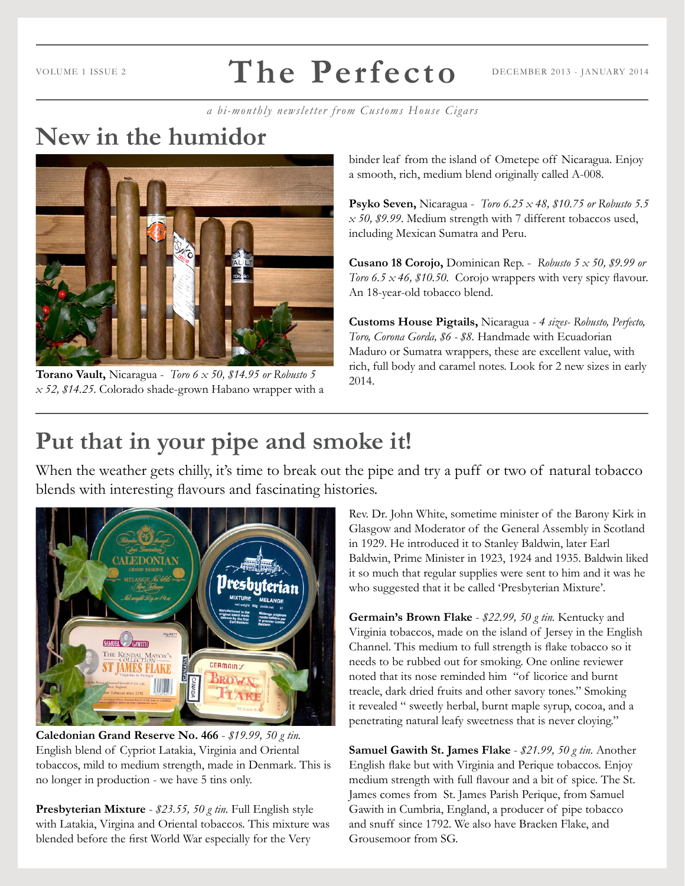#### **The Perfecto** VOLUME 1 ISSUE 2  $\blacksquare$   $\blacksquare$   $\blacksquare$   $\blacksquare$   $\blacksquare$   $\blacksquare$   $\blacksquare$   $\blacksquare$   $\blacksquare$   $\blacksquare$   $\blacksquare$   $\blacksquare$   $\blacksquare$   $\blacksquare$   $\blacksquare$   $\blacksquare$   $\blacksquare$   $\blacksquare$   $\blacksquare$   $\blacksquare$   $\blacksquare$   $\blacksquare$   $\blacksquare$   $\blacksquare$   $\blacksquare$   $\blacksquare$   $\blacksquare$   $\blacksquare$   $\blacksquare$

*a bi-monthly newsletter from Customs House Cigars*

# **New in the humidor**



**Torano Vault,** Nicaragua - *Toro 6 x 50, \$14.95 or Robusto 5 x 52, \$14.25*. Colorado shade-grown Habano wrapper with a

binder leaf from the island of Ometepe off Nicaragua. Enjoy a smooth, rich, medium blend originally called A-008.

**Psyko Seven,** Nicaragua - *Toro 6.25 x 48, \$10.75 or Robusto 5.5 x 50, \$9.99*. Medium strength with 7 different tobaccos used, including Mexican Sumatra and Peru.

**Cusano 18 Corojo,** Dominican Rep. - *Robusto 5 x 50, \$9.99 or Toro 6.5 x 46, \$10.50.* Corojo wrappers with very spicy flavour. An 18-year-old tobacco blend.

**Customs House Pigtails,** Nicaragua - *4 sizes- Robusto, Perfecto, Toro, Corona Gorda, \$6 - \$8.* Handmade with Ecuadorian Maduro or Sumatra wrappers, these are excellent value, with rich, full body and caramel notes. Look for 2 new sizes in early 2014.

## **Put that in your pipe and smoke it!**

When the weather gets chilly, it's time to break out the pipe and try a puff or two of natural tobacco blends with interesting flavours and fascinating histories.



**Caledonian Grand Reserve No. 466** - *\$19.99, 50 g tin.* English blend of Cypriot Latakia, Virginia and Oriental tobaccos, mild to medium strength, made in Denmark. This is no longer in production - we have 5 tins only.

**Presbyterian Mixture** - *\$23.55, 50 g tin*. Full English style with Latakia, Virgina and Oriental tobaccos. This mixture was blended before the first World War especially for the Very

Rev. Dr. John White, sometime minister of the Barony Kirk in Glasgow and Moderator of the General Assembly in Scotland in 1929. He introduced it to Stanley Baldwin, later Earl Baldwin, Prime Minister in 1923, 1924 and 1935. Baldwin liked it so much that regular supplies were sent to him and it was he who suggested that it be called 'Presbyterian Mixture'.

**Germain's Brown Flake** - *\$22.99, 50 g tin.* Kentucky and Virginia tobaccos, made on the island of Jersey in the English Channel. This medium to full strength is flake tobacco so it needs to be rubbed out for smoking. One online reviewer noted that its nose reminded him "of licorice and burnt treacle, dark dried fruits and other savory tones." Smoking it revealed " sweetly herbal, burnt maple syrup, cocoa, and a penetrating natural leafy sweetness that is never cloying."

**Samuel Gawith St. James Flake** - *\$21.99, 50 g tin*. Another English flake but with Virginia and Perique tobaccos. Enjoy medium strength with full flavour and a bit of spice. The St. James comes from St. James Parish Perique, from Samuel Gawith in Cumbria, England, a producer of pipe tobacco and snuff since 1792. We also have Bracken Flake, and Grousemoor from SG.